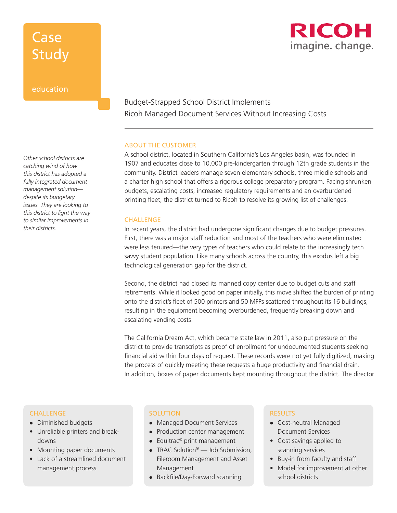# **Case** Study

### education

*Other school districts are catching wind of how this district has adopted a fully integrated document management solution despite its budgetary issues. They are looking to this district to light the way to similar improvements in their districts.*

### Budget-Strapped School District Implements Ricoh Managed Document Services Without Increasing Costs

#### ABOUT THE CUSTOMER

A school district, located in Southern California's Los Angeles basin, was founded in 1907 and educates close to 10,000 pre-kindergarten through 12th grade students in the community. District leaders manage seven elementary schools, three middle schools and a charter high school that offers a rigorous college preparatory program. Facing shrunken budgets, escalating costs, increased regulatory requirements and an overburdened printing fleet, the district turned to Ricoh to resolve its growing list of challenges.

#### **CHALLENGE**

In recent years, the district had undergone significant changes due to budget pressures. First, there was a major staff reduction and most of the teachers who were eliminated were less tenured—the very types of teachers who could relate to the increasingly tech savvy student population. Like many schools across the country, this exodus left a big technological generation gap for the district.

Second, the district had closed its manned copy center due to budget cuts and staff retirements. While it looked good on paper initially, this move shifted the burden of printing onto the district's fleet of 500 printers and 50 MFPs scattered throughout its 16 buildings, resulting in the equipment becoming overburdened, frequently breaking down and escalating vending costs.

The California Dream Act, which became state law in 2011, also put pressure on the district to provide transcripts as proof of enrollment for undocumented students seeking financial aid within four days of request. These records were not yet fully digitized, making the process of quickly meeting these requests a huge productivity and financial drain. In addition, boxes of paper documents kept mounting throughout the district. The director

### CHALLENGE

- Diminished budgets
- Unreliable printers and breakdowns
- Mounting paper documents
- Lack of a streamlined document management process

#### **SOLUTION**

- Managed Document Services
- Production center management
- Equitrac® print management
- TRAC Solution<sup>®</sup> Job Submission, Fileroom Management and Asset Management
- Backfile/Day-Forward scanning

#### **RESULTS**

- Cost-neutral Managed Document Services
- Cost savings applied to scanning services
- Buy-in from faculty and staff
- Model for improvement at other school districts

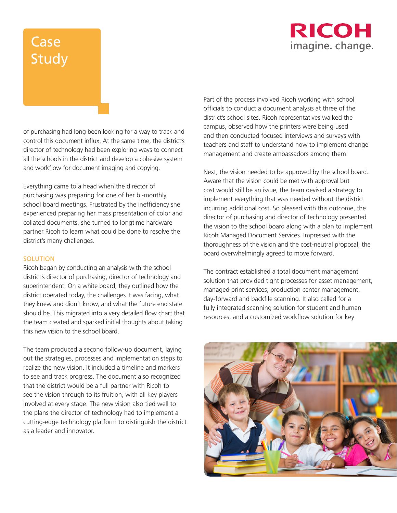

# Case Study

of purchasing had long been looking for a way to track and control this document influx. At the same time, the district's director of technology had been exploring ways to connect all the schools in the district and develop a cohesive system and workflow for document imaging and copying.

Everything came to a head when the director of purchasing was preparing for one of her bi-monthly school board meetings. Frustrated by the inefficiency she experienced preparing her mass presentation of color and collated documents, she turned to longtime hardware partner Ricoh to learn what could be done to resolve the district's many challenges.

#### SOLUTION

Ricoh began by conducting an analysis with the school district's director of purchasing, director of technology and superintendent. On a white board, they outlined how the district operated today, the challenges it was facing, what they knew and didn't know, and what the future end state should be. This migrated into a very detailed flow chart that the team created and sparked initial thoughts about taking this new vision to the school board.

The team produced a second follow-up document, laying out the strategies, processes and implementation steps to realize the new vision. It included a timeline and markers to see and track progress. The document also recognized that the district would be a full partner with Ricoh to see the vision through to its fruition, with all key players involved at every stage. The new vision also tied well to the plans the director of technology had to implement a cutting-edge technology platform to distinguish the district as a leader and innovator.

Part of the process involved Ricoh working with school officials to conduct a document analysis at three of the district's school sites. Ricoh representatives walked the campus, observed how the printers were being used and then conducted focused interviews and surveys with teachers and staff to understand how to implement change management and create ambassadors among them.

Next, the vision needed to be approved by the school board. Aware that the vision could be met with approval but cost would still be an issue, the team devised a strategy to implement everything that was needed without the district incurring additional cost. So pleased with this outcome, the director of purchasing and director of technology presented the vision to the school board along with a plan to implement Ricoh Managed Document Services. Impressed with the thoroughness of the vision and the cost-neutral proposal, the board overwhelmingly agreed to move forward.

The contract established a total document management solution that provided tight processes for asset management, managed print services, production center management, day-forward and backfile scanning. It also called for a fully integrated scanning solution for student and human resources, and a customized workflow solution for key